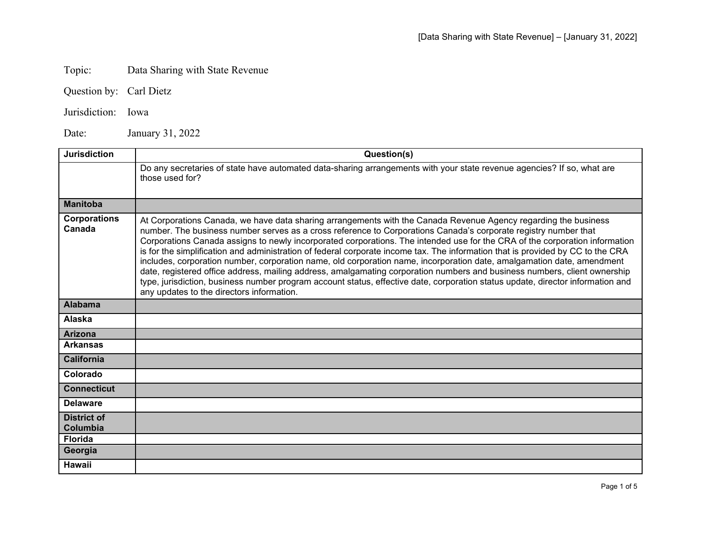## Topic: Data Sharing with State Revenue

Question by: Carl Dietz

Jurisdiction: Iowa

Date: January 31, 2022

| <b>Jurisdiction</b>            | Question(s)                                                                                                                                                                                                                                                                                                                                                                                                                                                                                                                                                                                                                                                                                                                                                                                                                                                                                                                                 |
|--------------------------------|---------------------------------------------------------------------------------------------------------------------------------------------------------------------------------------------------------------------------------------------------------------------------------------------------------------------------------------------------------------------------------------------------------------------------------------------------------------------------------------------------------------------------------------------------------------------------------------------------------------------------------------------------------------------------------------------------------------------------------------------------------------------------------------------------------------------------------------------------------------------------------------------------------------------------------------------|
|                                | Do any secretaries of state have automated data-sharing arrangements with your state revenue agencies? If so, what are<br>those used for?                                                                                                                                                                                                                                                                                                                                                                                                                                                                                                                                                                                                                                                                                                                                                                                                   |
| <b>Manitoba</b>                |                                                                                                                                                                                                                                                                                                                                                                                                                                                                                                                                                                                                                                                                                                                                                                                                                                                                                                                                             |
| <b>Corporations</b><br>Canada  | At Corporations Canada, we have data sharing arrangements with the Canada Revenue Agency regarding the business<br>number. The business number serves as a cross reference to Corporations Canada's corporate registry number that<br>Corporations Canada assigns to newly incorporated corporations. The intended use for the CRA of the corporation information<br>is for the simplification and administration of federal corporate income tax. The information that is provided by CC to the CRA<br>includes, corporation number, corporation name, old corporation name, incorporation date, amalgamation date, amendment<br>date, registered office address, mailing address, amalgamating corporation numbers and business numbers, client ownership<br>type, jurisdiction, business number program account status, effective date, corporation status update, director information and<br>any updates to the directors information. |
| <b>Alabama</b>                 |                                                                                                                                                                                                                                                                                                                                                                                                                                                                                                                                                                                                                                                                                                                                                                                                                                                                                                                                             |
| <b>Alaska</b>                  |                                                                                                                                                                                                                                                                                                                                                                                                                                                                                                                                                                                                                                                                                                                                                                                                                                                                                                                                             |
| <b>Arizona</b>                 |                                                                                                                                                                                                                                                                                                                                                                                                                                                                                                                                                                                                                                                                                                                                                                                                                                                                                                                                             |
| <b>Arkansas</b>                |                                                                                                                                                                                                                                                                                                                                                                                                                                                                                                                                                                                                                                                                                                                                                                                                                                                                                                                                             |
| <b>California</b>              |                                                                                                                                                                                                                                                                                                                                                                                                                                                                                                                                                                                                                                                                                                                                                                                                                                                                                                                                             |
| Colorado                       |                                                                                                                                                                                                                                                                                                                                                                                                                                                                                                                                                                                                                                                                                                                                                                                                                                                                                                                                             |
| <b>Connecticut</b>             |                                                                                                                                                                                                                                                                                                                                                                                                                                                                                                                                                                                                                                                                                                                                                                                                                                                                                                                                             |
| <b>Delaware</b>                |                                                                                                                                                                                                                                                                                                                                                                                                                                                                                                                                                                                                                                                                                                                                                                                                                                                                                                                                             |
| <b>District of</b><br>Columbia |                                                                                                                                                                                                                                                                                                                                                                                                                                                                                                                                                                                                                                                                                                                                                                                                                                                                                                                                             |
| <b>Florida</b>                 |                                                                                                                                                                                                                                                                                                                                                                                                                                                                                                                                                                                                                                                                                                                                                                                                                                                                                                                                             |
| Georgia                        |                                                                                                                                                                                                                                                                                                                                                                                                                                                                                                                                                                                                                                                                                                                                                                                                                                                                                                                                             |
| <b>Hawaii</b>                  |                                                                                                                                                                                                                                                                                                                                                                                                                                                                                                                                                                                                                                                                                                                                                                                                                                                                                                                                             |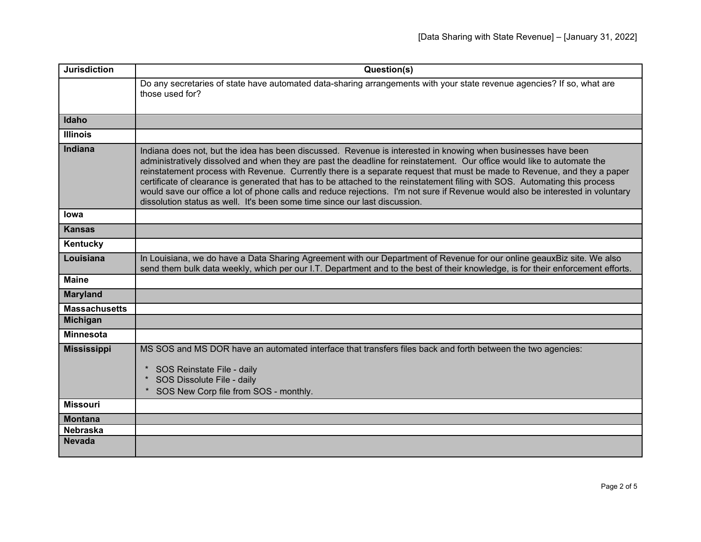| <b>Jurisdiction</b>  | Question(s)                                                                                                                                                                                                                                                                                                                                                                                                                                                                                                                                                                                                                                                                                                          |
|----------------------|----------------------------------------------------------------------------------------------------------------------------------------------------------------------------------------------------------------------------------------------------------------------------------------------------------------------------------------------------------------------------------------------------------------------------------------------------------------------------------------------------------------------------------------------------------------------------------------------------------------------------------------------------------------------------------------------------------------------|
|                      | Do any secretaries of state have automated data-sharing arrangements with your state revenue agencies? If so, what are<br>those used for?                                                                                                                                                                                                                                                                                                                                                                                                                                                                                                                                                                            |
| Idaho                |                                                                                                                                                                                                                                                                                                                                                                                                                                                                                                                                                                                                                                                                                                                      |
| <b>Illinois</b>      |                                                                                                                                                                                                                                                                                                                                                                                                                                                                                                                                                                                                                                                                                                                      |
| <b>Indiana</b>       | Indiana does not, but the idea has been discussed. Revenue is interested in knowing when businesses have been<br>administratively dissolved and when they are past the deadline for reinstatement. Our office would like to automate the<br>reinstatement process with Revenue. Currently there is a separate request that must be made to Revenue, and they a paper<br>certificate of clearance is generated that has to be attached to the reinstatement filing with SOS. Automating this process<br>would save our office a lot of phone calls and reduce rejections. I'm not sure if Revenue would also be interested in voluntary<br>dissolution status as well. It's been some time since our last discussion. |
| lowa                 |                                                                                                                                                                                                                                                                                                                                                                                                                                                                                                                                                                                                                                                                                                                      |
| <b>Kansas</b>        |                                                                                                                                                                                                                                                                                                                                                                                                                                                                                                                                                                                                                                                                                                                      |
| Kentucky             |                                                                                                                                                                                                                                                                                                                                                                                                                                                                                                                                                                                                                                                                                                                      |
| Louisiana            | In Louisiana, we do have a Data Sharing Agreement with our Department of Revenue for our online geauxBiz site. We also<br>send them bulk data weekly, which per our I.T. Department and to the best of their knowledge, is for their enforcement efforts.                                                                                                                                                                                                                                                                                                                                                                                                                                                            |
| <b>Maine</b>         |                                                                                                                                                                                                                                                                                                                                                                                                                                                                                                                                                                                                                                                                                                                      |
| <b>Maryland</b>      |                                                                                                                                                                                                                                                                                                                                                                                                                                                                                                                                                                                                                                                                                                                      |
| <b>Massachusetts</b> |                                                                                                                                                                                                                                                                                                                                                                                                                                                                                                                                                                                                                                                                                                                      |
| <b>Michigan</b>      |                                                                                                                                                                                                                                                                                                                                                                                                                                                                                                                                                                                                                                                                                                                      |
| <b>Minnesota</b>     |                                                                                                                                                                                                                                                                                                                                                                                                                                                                                                                                                                                                                                                                                                                      |
| <b>Mississippi</b>   | MS SOS and MS DOR have an automated interface that transfers files back and forth between the two agencies:                                                                                                                                                                                                                                                                                                                                                                                                                                                                                                                                                                                                          |
|                      | SOS Reinstate File - daily<br>SOS Dissolute File - daily<br>* SOS New Corp file from SOS - monthly.                                                                                                                                                                                                                                                                                                                                                                                                                                                                                                                                                                                                                  |
| <b>Missouri</b>      |                                                                                                                                                                                                                                                                                                                                                                                                                                                                                                                                                                                                                                                                                                                      |
| <b>Montana</b>       |                                                                                                                                                                                                                                                                                                                                                                                                                                                                                                                                                                                                                                                                                                                      |
| <b>Nebraska</b>      |                                                                                                                                                                                                                                                                                                                                                                                                                                                                                                                                                                                                                                                                                                                      |
| <b>Nevada</b>        |                                                                                                                                                                                                                                                                                                                                                                                                                                                                                                                                                                                                                                                                                                                      |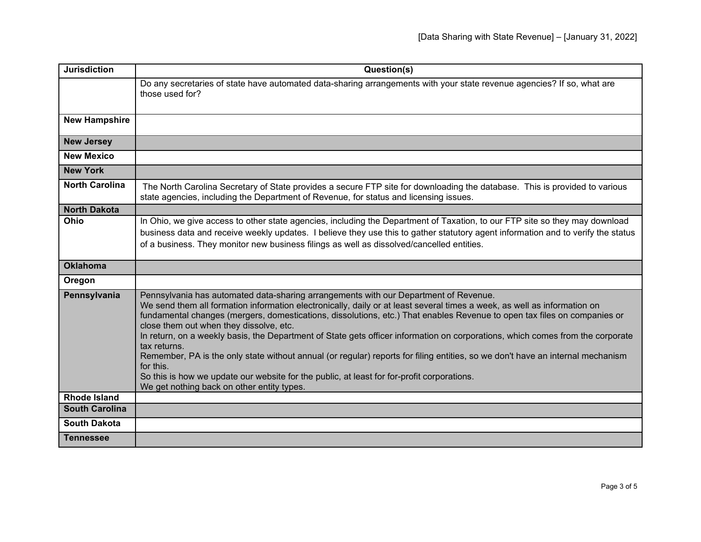| <b>Jurisdiction</b>   | Question(s)                                                                                                                                                                                                                                                                                                                                                                                                                                                                                                                                                                                                                                                                                                                                                                                                                          |
|-----------------------|--------------------------------------------------------------------------------------------------------------------------------------------------------------------------------------------------------------------------------------------------------------------------------------------------------------------------------------------------------------------------------------------------------------------------------------------------------------------------------------------------------------------------------------------------------------------------------------------------------------------------------------------------------------------------------------------------------------------------------------------------------------------------------------------------------------------------------------|
|                       | Do any secretaries of state have automated data-sharing arrangements with your state revenue agencies? If so, what are<br>those used for?                                                                                                                                                                                                                                                                                                                                                                                                                                                                                                                                                                                                                                                                                            |
| <b>New Hampshire</b>  |                                                                                                                                                                                                                                                                                                                                                                                                                                                                                                                                                                                                                                                                                                                                                                                                                                      |
| <b>New Jersey</b>     |                                                                                                                                                                                                                                                                                                                                                                                                                                                                                                                                                                                                                                                                                                                                                                                                                                      |
| <b>New Mexico</b>     |                                                                                                                                                                                                                                                                                                                                                                                                                                                                                                                                                                                                                                                                                                                                                                                                                                      |
| <b>New York</b>       |                                                                                                                                                                                                                                                                                                                                                                                                                                                                                                                                                                                                                                                                                                                                                                                                                                      |
| <b>North Carolina</b> | The North Carolina Secretary of State provides a secure FTP site for downloading the database. This is provided to various<br>state agencies, including the Department of Revenue, for status and licensing issues.                                                                                                                                                                                                                                                                                                                                                                                                                                                                                                                                                                                                                  |
| <b>North Dakota</b>   |                                                                                                                                                                                                                                                                                                                                                                                                                                                                                                                                                                                                                                                                                                                                                                                                                                      |
| Ohio                  | In Ohio, we give access to other state agencies, including the Department of Taxation, to our FTP site so they may download<br>business data and receive weekly updates. I believe they use this to gather statutory agent information and to verify the status<br>of a business. They monitor new business filings as well as dissolved/cancelled entities.                                                                                                                                                                                                                                                                                                                                                                                                                                                                         |
| <b>Oklahoma</b>       |                                                                                                                                                                                                                                                                                                                                                                                                                                                                                                                                                                                                                                                                                                                                                                                                                                      |
| Oregon                |                                                                                                                                                                                                                                                                                                                                                                                                                                                                                                                                                                                                                                                                                                                                                                                                                                      |
| Pennsylvania          | Pennsylvania has automated data-sharing arrangements with our Department of Revenue.<br>We send them all formation information electronically, daily or at least several times a week, as well as information on<br>fundamental changes (mergers, domestications, dissolutions, etc.) That enables Revenue to open tax files on companies or<br>close them out when they dissolve, etc.<br>In return, on a weekly basis, the Department of State gets officer information on corporations, which comes from the corporate<br>tax returns.<br>Remember, PA is the only state without annual (or regular) reports for filing entities, so we don't have an internal mechanism<br>for this.<br>So this is how we update our website for the public, at least for for-profit corporations.<br>We get nothing back on other entity types. |
| <b>Rhode Island</b>   |                                                                                                                                                                                                                                                                                                                                                                                                                                                                                                                                                                                                                                                                                                                                                                                                                                      |
| <b>South Carolina</b> |                                                                                                                                                                                                                                                                                                                                                                                                                                                                                                                                                                                                                                                                                                                                                                                                                                      |
| <b>South Dakota</b>   |                                                                                                                                                                                                                                                                                                                                                                                                                                                                                                                                                                                                                                                                                                                                                                                                                                      |
| <b>Tennessee</b>      |                                                                                                                                                                                                                                                                                                                                                                                                                                                                                                                                                                                                                                                                                                                                                                                                                                      |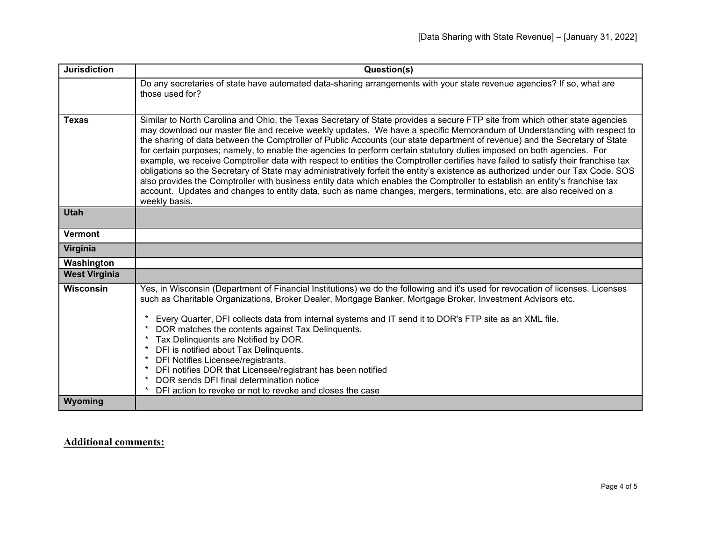| <b>Jurisdiction</b>  | Question(s)                                                                                                                                                                                                                                                                                                                                                                                                                                                                                                                                                                                                                                                                                                                                                                                                                                                                                                                                                                                                                                                        |
|----------------------|--------------------------------------------------------------------------------------------------------------------------------------------------------------------------------------------------------------------------------------------------------------------------------------------------------------------------------------------------------------------------------------------------------------------------------------------------------------------------------------------------------------------------------------------------------------------------------------------------------------------------------------------------------------------------------------------------------------------------------------------------------------------------------------------------------------------------------------------------------------------------------------------------------------------------------------------------------------------------------------------------------------------------------------------------------------------|
|                      | Do any secretaries of state have automated data-sharing arrangements with your state revenue agencies? If so, what are<br>those used for?                                                                                                                                                                                                                                                                                                                                                                                                                                                                                                                                                                                                                                                                                                                                                                                                                                                                                                                          |
| Texas                | Similar to North Carolina and Ohio, the Texas Secretary of State provides a secure FTP site from which other state agencies<br>may download our master file and receive weekly updates. We have a specific Memorandum of Understanding with respect to<br>the sharing of data between the Comptroller of Public Accounts (our state department of revenue) and the Secretary of State<br>for certain purposes; namely, to enable the agencies to perform certain statutory duties imposed on both agencies. For<br>example, we receive Comptroller data with respect to entities the Comptroller certifies have failed to satisfy their franchise tax<br>obligations so the Secretary of State may administratively forfeit the entity's existence as authorized under our Tax Code. SOS<br>also provides the Comptroller with business entity data which enables the Comptroller to establish an entity's franchise tax<br>account. Updates and changes to entity data, such as name changes, mergers, terminations, etc. are also received on a<br>weekly basis. |
| <b>Utah</b>          |                                                                                                                                                                                                                                                                                                                                                                                                                                                                                                                                                                                                                                                                                                                                                                                                                                                                                                                                                                                                                                                                    |
| <b>Vermont</b>       |                                                                                                                                                                                                                                                                                                                                                                                                                                                                                                                                                                                                                                                                                                                                                                                                                                                                                                                                                                                                                                                                    |
| Virginia             |                                                                                                                                                                                                                                                                                                                                                                                                                                                                                                                                                                                                                                                                                                                                                                                                                                                                                                                                                                                                                                                                    |
| Washington           |                                                                                                                                                                                                                                                                                                                                                                                                                                                                                                                                                                                                                                                                                                                                                                                                                                                                                                                                                                                                                                                                    |
| <b>West Virginia</b> |                                                                                                                                                                                                                                                                                                                                                                                                                                                                                                                                                                                                                                                                                                                                                                                                                                                                                                                                                                                                                                                                    |
| <b>Wisconsin</b>     | Yes, in Wisconsin (Department of Financial Institutions) we do the following and it's used for revocation of licenses. Licenses<br>such as Charitable Organizations, Broker Dealer, Mortgage Banker, Mortgage Broker, Investment Advisors etc.<br>Every Quarter, DFI collects data from internal systems and IT send it to DOR's FTP site as an XML file.                                                                                                                                                                                                                                                                                                                                                                                                                                                                                                                                                                                                                                                                                                          |
|                      | DOR matches the contents against Tax Delinquents.                                                                                                                                                                                                                                                                                                                                                                                                                                                                                                                                                                                                                                                                                                                                                                                                                                                                                                                                                                                                                  |
|                      | Tax Delinquents are Notified by DOR.                                                                                                                                                                                                                                                                                                                                                                                                                                                                                                                                                                                                                                                                                                                                                                                                                                                                                                                                                                                                                               |
|                      | DFI is notified about Tax Delinquents.<br>DFI Notifies Licensee/registrants.<br>$\ast$                                                                                                                                                                                                                                                                                                                                                                                                                                                                                                                                                                                                                                                                                                                                                                                                                                                                                                                                                                             |
|                      | DFI notifies DOR that Licensee/registrant has been notified                                                                                                                                                                                                                                                                                                                                                                                                                                                                                                                                                                                                                                                                                                                                                                                                                                                                                                                                                                                                        |
|                      | DOR sends DFI final determination notice                                                                                                                                                                                                                                                                                                                                                                                                                                                                                                                                                                                                                                                                                                                                                                                                                                                                                                                                                                                                                           |
|                      | $\star$<br>DFI action to revoke or not to revoke and closes the case                                                                                                                                                                                                                                                                                                                                                                                                                                                                                                                                                                                                                                                                                                                                                                                                                                                                                                                                                                                               |
| Wyoming              |                                                                                                                                                                                                                                                                                                                                                                                                                                                                                                                                                                                                                                                                                                                                                                                                                                                                                                                                                                                                                                                                    |

## **Additional comments:**